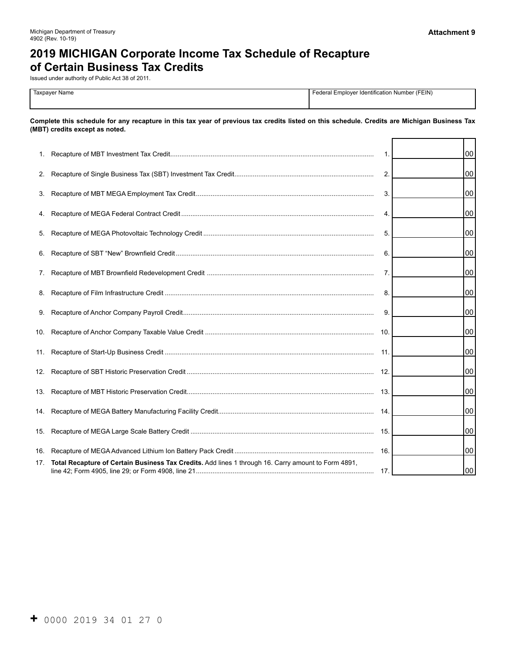# **2019 MICHIGAN Corporate Income Tax Schedule of Recapture of Certain Business Tax Credits**

Issued under authority of Public Act 38 of 2011.

| Taxpaver Name<br>. | r Identification Number (FEIN)<br>⊢edera <sub>∙</sub><br>. Emplover |
|--------------------|---------------------------------------------------------------------|
|                    |                                                                     |

**Complete this schedule for any recapture in this tax year of previous tax credits listed on this schedule. Credits are Michigan Business Tax (MBT) credits except as noted.** 

| 1.  |                                                                                                     | $\mathbf{1}$ | 00 |
|-----|-----------------------------------------------------------------------------------------------------|--------------|----|
|     |                                                                                                     | 2.           | 00 |
| 3.  |                                                                                                     | 3.           | 00 |
|     |                                                                                                     | 4.           | 00 |
|     |                                                                                                     | 5.           | 00 |
|     |                                                                                                     | 6.           | 00 |
| 7.  |                                                                                                     | 7.           | 00 |
|     |                                                                                                     | 8.           | 00 |
|     |                                                                                                     | 9.           | 00 |
|     |                                                                                                     |              | 00 |
|     |                                                                                                     | 11.          | 00 |
|     |                                                                                                     |              | 00 |
|     |                                                                                                     |              | 00 |
|     |                                                                                                     |              | 00 |
|     |                                                                                                     |              | 00 |
|     |                                                                                                     |              | 00 |
| 17. | Total Recapture of Certain Business Tax Credits. Add lines 1 through 16. Carry amount to Form 4891, |              | 00 |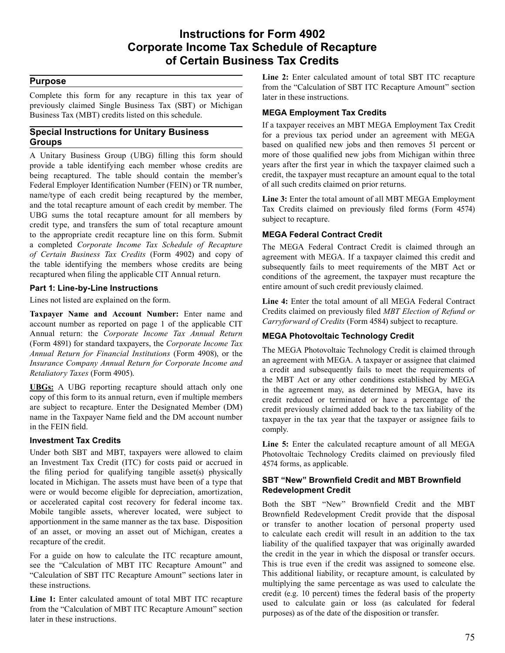## **Instructions for Form 4902 Corporate Income Tax Schedule of Recapture of Certain Business Tax Credits**

#### **Purpose**

 Complete this form for any recapture in this tax year of previously claimed Single Business Tax (SBT) or Michigan Business Tax (MBT) credits listed on this schedule.

#### **Special Instructions for Unitary Business Groups**

 A Unitary Business Group (UBG) filling this form should provide a table identifying each member whose credits are being recaptured. The table should contain the member's Federal Employer Identification Number (FEIN) or TR number, name/type of each credit being recaptured by the member, and the total recapture amount of each credit by member. The UBG sums the total recapture amount for all members by credit type, and transfers the sum of total recapture amount to the appropriate credit recapture line on this form. Submit a completed *Corporate Income Tax Schedule of Recapture of Certain Business Tax Credits* (Form 4902) and copy of the table identifying the members whose credits are being recaptured when filing the applicable CIT Annual return.

#### **Part 1: Line-by-Line Instructions**

 Lines not listed are explained on the form.

 **Taxpayer Name and Account Number:** Enter name and account number as reported on page 1 of the applicable CIT Annual return: the *Corporate Income Tax Annual Return*  (Form 4891) for standard taxpayers, the *Corporate Income Tax Annual Return for Financial Institutions* (Form 4908), or the *Retaliatory Taxes* (Form 4905). *Insurance Company Annual Return for Corporate Income and* 

 **UBGs:** A UBG reporting recapture should attach only one copy of this form to its annual return, even if multiple members are subject to recapture. Enter the Designated Member (DM) name in the Taxpayer Name field and the DM account number in the FEIN field.

#### **Investment Tax Credits**

 Under both SBT and MBT, taxpayers were allowed to claim an Investment Tax Credit (ITC) for costs paid or accrued in the filing period for qualifying tangible asset(s) physically located in Michigan. The assets must have been of a type that were or would become eligible for depreciation, amortization, or accelerated capital cost recovery for federal income tax. Mobile tangible assets, wherever located, were subject to apportionment in the same manner as the tax base. Disposition of an asset, or moving an asset out of Michigan, creates a recapture of the credit.

 For a guide on how to calculate the ITC recapture amount, see the "Calculation of MBT ITC Recapture Amount" and "Calculation of SBT ITC Recapture Amount" sections later in these instructions.

 **Line 1:** Enter calculated amount of total MBT ITC recapture from the "Calculation of MBT ITC Recapture Amount" section later in these instructions.

 **Line 2:** Enter calculated amount of total SBT ITC recapture from the "Calculation of SBT ITC Recapture Amount" section later in these instructions.

#### **MEGA Employment Tax Credits**

 If a taxpayer receives an MBT MEGA Employment Tax Credit for a previous tax period under an agreement with MEGA based on qualified new jobs and then removes 51 percent or more of those qualified new jobs from Michigan within three years after the first year in which the taxpayer claimed such a credit, the taxpayer must recapture an amount equal to the total of all such credits claimed on prior returns.

 **Line 3:** Enter the total amount of all MBT MEGA Employment Tax Credits claimed on previously filed forms (Form 4574) subject to recapture.

#### **MEGA Federal Contract Credit**

 The MEGA Federal Contract Credit is claimed through an agreement with MEGA. If a taxpayer claimed this credit and subsequently fails to meet requirements of the MBT Act or conditions of the agreement, the taxpayer must recapture the entire amount of such credit previously claimed.

 **Line 4:** Enter the total amount of all MEGA Federal Contract Credits claimed on previously filed *MBT Election of Refund or Carryforward of Credits* (Form 4584) subject to recapture.

#### **MEGA Photovoltaic Technology Credit**

 The MEGA Photovoltaic Technology Credit is claimed through an agreement with MEGA. A taxpayer or assignee that claimed a credit and subsequently fails to meet the requirements of the MBT Act or any other conditions established by MEGA in the agreement may, as determined by MEGA, have its credit reduced or terminated or have a percentage of the credit previously claimed added back to the tax liability of the taxpayer in the tax year that the taxpayer or assignee fails to comply.

 **Line 5:** Enter the calculated recapture amount of all MEGA Photovoltaic Technology Credits claimed on previously filed 4574 forms, as applicable.

#### **SBT "New" Brownfield Credit and MBT Brownfield Redevelopment Credit**

 Both the SBT "New" Brownfield Credit and the MBT Brownfield Redevelopment Credit provide that the disposal or transfer to another location of personal property used to calculate each credit will result in an addition to the tax liability of the qualified taxpayer that was originally awarded the credit in the year in which the disposal or transfer occurs. This is true even if the credit was assigned to someone else. This additional liability, or recapture amount, is calculated by multiplying the same percentage as was used to calculate the credit (e.g. 10 percent) times the federal basis of the property used to calculate gain or loss (as calculated for federal purposes) as of the date of the disposition or transfer.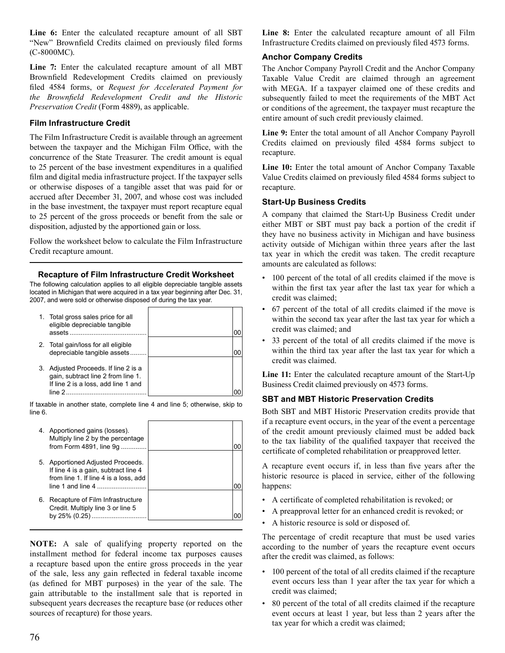**Line 6:** Enter the calculated recapture amount of all SBT "New" Brownfield Credits claimed on previously filed forms (C-8000MC).

 **Line 7:** Enter the calculated recapture amount of all MBT Brownfield Redevelopment Credits claimed on previously filed 4584 forms, or *Request for Accelerated Payment for Preservation Credit* (Form 4889), as applicable. *the Brownfield Redevelopment Credit and the Historic* 

#### **Film Infrastructure Credit**

 The Film Infrastructure Credit is available through an agreement between the taxpayer and the Michigan Film Office, with the concurrence of the State Treasurer. The credit amount is equal to 25 percent of the base investment expenditures in a qualified film and digital media infrastructure project. If the taxpayer sells or otherwise disposes of a tangible asset that was paid for or accrued after December 31, 2007, and whose cost was included in the base investment, the taxpayer must report recapture equal to 25 percent of the gross proceeds or benefit from the sale or disposition, adjusted by the apportioned gain or loss.

 Follow the worksheet below to calculate the Film Infrastructure Credit recapture amount.

#### **Recapture of Film Infrastructure Credit Worksheet**

The following calculation applies to all eligible depreciable tangible assets located in Michigan that were acquired in a tax year beginning after Dec. 31, 2007, and were sold or otherwise disposed of during the tax year.

| 1. Total gross sales price for all<br>eligible depreciable tangible<br>assets                                               |  |
|-----------------------------------------------------------------------------------------------------------------------------|--|
| 2. Total gain/loss for all eligible<br>depreciable tangible assets                                                          |  |
| 3. Adjusted Proceeds. If line 2 is a<br>gain, subtract line 2 from line 1.<br>If line 2 is a loss, add line 1 and<br>line 2 |  |

If taxable in another state, complete line 4 and line 5; otherwise, skip to line 6.

|    | 4. Apportioned gains (losses).<br>Multiply line 2 by the percentage<br>from Form 4891, line 9q                                                                  |  |
|----|-----------------------------------------------------------------------------------------------------------------------------------------------------------------|--|
|    | 5. Apportioned Adjusted Proceeds.<br>If line 4 is a gain, subtract line 4<br>from line 1. If line 4 is a loss, add<br>$\mathsf{line}\ 1$ and $\mathsf{line}\ 4$ |  |
| 6. | Recapture of Film Infrastructure<br>Credit. Multiply line 3 or line 5                                                                                           |  |

 **NOTE:** A sale of qualifying property reported on the installment method for federal income tax purposes causes a recapture based upon the entire gross proceeds in the year of the sale, less any gain reflected in federal taxable income (as defined for MBT purposes) in the year of the sale. The gain attributable to the installment sale that is reported in subsequent years decreases the recapture base (or reduces other sources of recapture) for those years.

 **Line 8:** Enter the calculated recapture amount of all Film Infrastructure Credits claimed on previously filed 4573 forms.

#### **Anchor Company Credits**

 The Anchor Company Payroll Credit and the Anchor Company Taxable Value Credit are claimed through an agreement with MEGA. If a taxpayer claimed one of these credits and subsequently failed to meet the requirements of the MBT Act or conditions of the agreement, the taxpayer must recapture the entire amount of such credit previously claimed.

 **Line 9:** Enter the total amount of all Anchor Company Payroll Credits claimed on previously filed 4584 forms subject to recapture.

 **Line 10:** Enter the total amount of Anchor Company Taxable Value Credits claimed on previously filed 4584 forms subject to recapture.

#### **Start-Up Business Credits**

 A company that claimed the Start-Up Business Credit under either MBT or SBT must pay back a portion of the credit if they have no business activity in Michigan and have business activity outside of Michigan within three years after the last tax year in which the credit was taken. The credit recapture amounts are calculated as follows:

- 100 percent of the total of all credits claimed if the move is within the first tax year after the last tax year for which a credit was claimed;
- 67 percent of the total of all credits claimed if the move is within the second tax year after the last tax year for which a credit was claimed; and
- 33 percent of the total of all credits claimed if the move is within the third tax year after the last tax year for which a credit was claimed.

 **Line 11:** Enter the calculated recapture amount of the Start-Up Business Credit claimed previously on 4573 forms.

#### **SBT and MBT Historic Preservation Credits**

 Both SBT and MBT Historic Preservation credits provide that if a recapture event occurs, in the year of the event a percentage of the credit amount previously claimed must be added back to the tax liability of the qualified taxpayer that received the certificate of completed rehabilitation or preapproved letter.

 A recapture event occurs if, in less than five years after the historic resource is placed in service, either of the following happens:

- A certificate of completed rehabilitation is revoked; or
- A preapproval letter for an enhanced credit is revoked; or
- A historic resource is sold or disposed of.

 The percentage of credit recapture that must be used varies according to the number of years the recapture event occurs after the credit was claimed, as follows:

- 100 percent of the total of all credits claimed if the recapture event occurs less than 1 year after the tax year for which a credit was claimed;
- 80 percent of the total of all credits claimed if the recapture event occurs at least 1 year, but less than 2 years after the tax year for which a credit was claimed;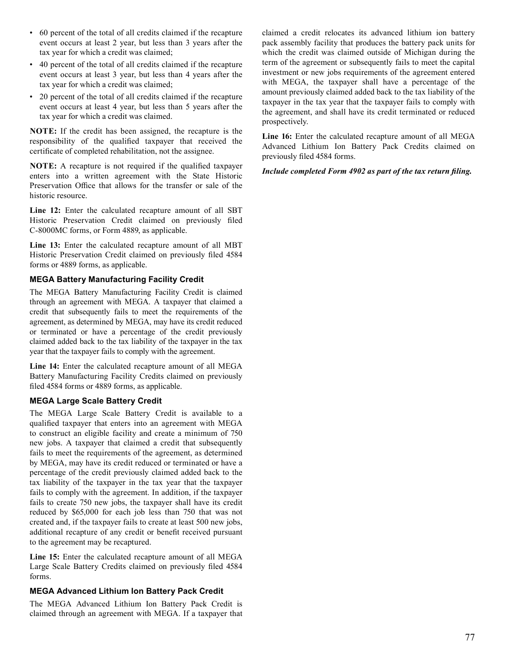- 60 percent of the total of all credits claimed if the recapture event occurs at least 2 year, but less than 3 years after the tax year for which a credit was claimed;
- 40 percent of the total of all credits claimed if the recapture event occurs at least 3 year, but less than 4 years after the tax year for which a credit was claimed;
- 20 percent of the total of all credits claimed if the recapture event occurs at least 4 year, but less than 5 years after the tax year for which a credit was claimed.

 **NOTE:** If the credit has been assigned, the recapture is the responsibility of the qualified taxpayer that received the certificate of completed rehabilitation, not the assignee.

 **NOTE:** A recapture is not required if the qualified taxpayer enters into a written agreement with the State Historic Preservation Office that allows for the transfer or sale of the historic resource.

 **Line 12:** Enter the calculated recapture amount of all SBT Historic Preservation Credit claimed on previously filed C-8000MC forms, or Form 4889, as applicable.

 **Line 13:** Enter the calculated recapture amount of all MBT Historic Preservation Credit claimed on previously filed 4584 forms or 4889 forms, as applicable.

#### **MEGA Battery Manufacturing Facility Credit**

 The MEGA Battery Manufacturing Facility Credit is claimed through an agreement with MEGA. A taxpayer that claimed a credit that subsequently fails to meet the requirements of the agreement, as determined by MEGA, may have its credit reduced or terminated or have a percentage of the credit previously claimed added back to the tax liability of the taxpayer in the tax year that the taxpayer fails to comply with the agreement.

 **Line 14:** Enter the calculated recapture amount of all MEGA Battery Manufacturing Facility Credits claimed on previously filed 4584 forms or 4889 forms, as applicable.

#### **MEGA Large Scale Battery Credit**

 The MEGA Large Scale Battery Credit is available to a qualified taxpayer that enters into an agreement with MEGA to construct an eligible facility and create a minimum of 750 new jobs. A taxpayer that claimed a credit that subsequently fails to meet the requirements of the agreement, as determined by MEGA, may have its credit reduced or terminated or have a percentage of the credit previously claimed added back to the tax liability of the taxpayer in the tax year that the taxpayer fails to comply with the agreement. In addition, if the taxpayer fails to create 750 new jobs, the taxpayer shall have its credit reduced by \$65,000 for each job less than 750 that was not created and, if the taxpayer fails to create at least 500 new jobs, additional recapture of any credit or benefit received pursuant to the agreement may be recaptured.

 **Line 15:** Enter the calculated recapture amount of all MEGA Large Scale Battery Credits claimed on previously filed 4584 forms.

#### **MEGA Advanced Lithium Ion Battery Pack Credit**

 The MEGA Advanced Lithium Ion Battery Pack Credit is claimed through an agreement with MEGA. If a taxpayer that  claimed a credit relocates its advanced lithium ion battery pack assembly facility that produces the battery pack units for which the credit was claimed outside of Michigan during the term of the agreement or subsequently fails to meet the capital investment or new jobs requirements of the agreement entered with MEGA, the taxpayer shall have a percentage of the amount previously claimed added back to the tax liability of the taxpayer in the tax year that the taxpayer fails to comply with the agreement, and shall have its credit terminated or reduced prospectively.

 **Line 16:** Enter the calculated recapture amount of all MEGA Advanced Lithium Ion Battery Pack Credits claimed on previously filed 4584 forms.

*Include completed Form 4902 as part of the tax return filing.*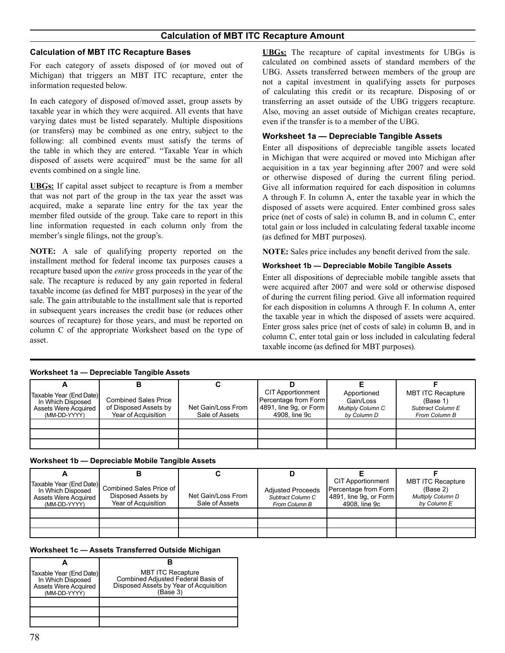### **Calculation of MBT ITC Recapture Amount**

#### **Calculation of MBT ITC Recapture Bases**

 For each category of assets disposed of (or moved out of Michigan) that triggers an MBT ITC recapture, enter the information requested below.

 In each category of disposed of/moved asset, group assets by taxable year in which they were acquired. All events that have varying dates must be listed separately. Multiple dispositions (or transfers) may be combined as one entry, subject to the following: all combined events must satisfy the terms of the table in which they are entered. "Taxable Year in which disposed of assets were acquired" must be the same for all events combined on a single line.

 **UBGs:** If capital asset subject to recapture is from a member that was not part of the group in the tax year the asset was acquired, make a separate line entry for the tax year the member filed outside of the group. Take care to report in this line information requested in each column only from the member's single filings, not the group's.

 **NOTE:** A sale of qualifying property reported on the installment method for federal income tax purposes causes a recapture based upon the *entire* gross proceeds in the year of the sale. The recapture is reduced by any gain reported in federal taxable income (as defined for MBT purposes) in the year of the sale. The gain attributable to the installment sale that is reported in subsequent years increases the credit base (or reduces other sources of recapture) for those years, and must be reported on column C of the appropriate Worksheet based on the type of asset.

 **UBGs:** The recapture of capital investments for UBGs is calculated on combined assets of standard members of the UBG. Assets transferred between members of the group are not a capital investment in qualifying assets for purposes of calculating this credit or its recapture. Disposing of or transferring an asset outside of the UBG triggers recapture. Also, moving an asset outside of Michigan creates recapture, even if the transfer is to a member of the UBG.

#### **Worksheet 1a — Depreciable Tangible Assets**

 Enter all dispositions of depreciable tangible assets located in Michigan that were acquired or moved into Michigan after acquisition in a tax year beginning after 2007 and were sold or otherwise disposed of during the current filing period. Give all information required for each disposition in columns A through F. In column A, enter the taxable year in which the disposed of assets were acquired. Enter combined gross sales price (net of costs of sale) in column B, and in column C, enter total gain or loss included in calculating federal taxable income (as defined for MBT purposes).

 **NOTE:** Sales price includes any benefit derived from the sale.

#### **Worksheet 1b — Depreciable Mobile Tangible Assets**

 Enter all dispositions of depreciable mobile tangible assets that were acquired after 2007 and were sold or otherwise disposed of during the current filing period. Give all information required for each disposition in columns A through F. In column A, enter the taxable year in which the disposed of assets were acquired. Enter gross sales price (net of costs of sale) in column B, and in column C, enter total gain or loss included in calculating federal taxable income (as defined for MBT purposes).

| <b>Truitslict, ia — Depictiable Tallylpic Assets</b>                                        |                                                                             |                                      |                                                                                               |                                                                     |                                                                            |  |
|---------------------------------------------------------------------------------------------|-----------------------------------------------------------------------------|--------------------------------------|-----------------------------------------------------------------------------------------------|---------------------------------------------------------------------|----------------------------------------------------------------------------|--|
|                                                                                             |                                                                             |                                      |                                                                                               |                                                                     |                                                                            |  |
| Taxable Year (End Date)<br>In Which Disposed<br><b>Assets Were Acquired</b><br>(MM-DD-YYYY) | <b>Combined Sales Price</b><br>of Disposed Assets by<br>Year of Acquisition | Net Gain/Loss From<br>Sale of Assets | <b>CIT Apportionment</b><br>Percentage from Form<br>4891, line 9q, or Form  <br>4908. line 9c | Apportioned<br>Gain/Loss<br><b>Multiply Column C</b><br>by Column D | <b>MBT ITC Recapture</b><br>(Base 1)<br>Subtract Column E<br>From Column B |  |
|                                                                                             |                                                                             |                                      |                                                                                               |                                                                     |                                                                            |  |
|                                                                                             |                                                                             |                                      |                                                                                               |                                                                     |                                                                            |  |
|                                                                                             |                                                                             |                                      |                                                                                               |                                                                     |                                                                            |  |

## **Worksheet 1a — Depreciable Tangible Assets**

**Worksheet 1b — Depreciable Mobile Tangible Assets** 

|                                                                                               | в                                                                    |                                      | D                                                              |                                                                                               |                                                                                 |
|-----------------------------------------------------------------------------------------------|----------------------------------------------------------------------|--------------------------------------|----------------------------------------------------------------|-----------------------------------------------------------------------------------------------|---------------------------------------------------------------------------------|
| Taxable Year (End Date)  <br>In Which Disposed<br><b>Assets Were Acquired</b><br>(MM-DD-YYYY) | Combined Sales Price of<br>Disposed Assets by<br>Year of Acquisition | Net Gain/Loss From<br>Sale of Assets | <b>Adiusted Proceeds</b><br>Subtract Column C<br>From Column B | <b>CIT Apportionment</b><br>Percentage from Form<br>4891, line 9q, or Form  <br>4908. line 9c | <b>MBT ITC Recapture</b><br>(Base 2)<br><b>Multiply Column D</b><br>by Column E |
|                                                                                               |                                                                      |                                      |                                                                |                                                                                               |                                                                                 |
|                                                                                               |                                                                      |                                      |                                                                |                                                                                               |                                                                                 |
|                                                                                               |                                                                      |                                      |                                                                |                                                                                               |                                                                                 |

**Worksheet 1c — Assets Transferred Outside Michigan** 

| Taxable Year (End Date)<br>In Which Disposed<br><b>Assets Were Acquired</b><br>(MM-DD-YYYY) | <b>MBT ITC Recapture</b><br>Combined Adjusted Federal Basis of<br>Disposed Assets by Year of Acquisition<br>(Base 3) |
|---------------------------------------------------------------------------------------------|----------------------------------------------------------------------------------------------------------------------|
|                                                                                             |                                                                                                                      |
|                                                                                             |                                                                                                                      |
|                                                                                             |                                                                                                                      |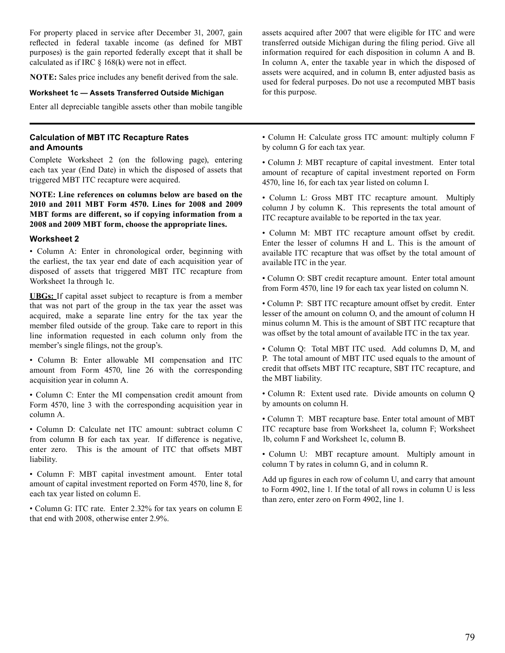For property placed in service after December 31, 2007, gain reflected in federal taxable income (as defined for MBT purposes) is the gain reported federally except that it shall be calculated as if IRC § 168(k) were not in effect.

 **NOTE:** Sales price includes any benefit derived from the sale.

#### **Worksheet 1c — Assets Transferred Outside Michigan**

 Enter all depreciable tangible assets other than mobile tangible

#### **Calculation of MBT ITC Recapture Rates and Amounts**

 Complete Worksheet 2 (on the following page), entering each tax year (End Date) in which the disposed of assets that triggered MBT ITC recapture were acquired.

**NOTE: Line references on columns below are based on the 2010 and 2011 MBT Form 4570. Lines for 2008 and 2009 MBT forms are different, so if copying information from a 2008 and 2009 MBT form, choose the appropriate lines.** 

#### **Worksheet 2**

 • Column A: Enter in chronological order, beginning with the earliest, the tax year end date of each acquisition year of disposed of assets that triggered MBT ITC recapture from Worksheet 1a through 1c.

 **UBGs:** If capital asset subject to recapture is from a member that was not part of the group in the tax year the asset was acquired, make a separate line entry for the tax year the member filed outside of the group. Take care to report in this line information requested in each column only from the member's single filings, not the group's.

 • Column B: Enter allowable MI compensation and ITC amount from Form 4570, line 26 with the corresponding acquisition year in column A.

 • Column C: Enter the MI compensation credit amount from Form 4570, line 3 with the corresponding acquisition year in column A.

 • Column D: Calculate net ITC amount: subtract column C from column B for each tax year. If difference is negative, enter zero. This is the amount of ITC that offsets MBT liability.

 • Column F: MBT capital investment amount. Enter total amount of capital investment reported on Form 4570, line 8, for each tax year listed on column E.

 • Column G: ITC rate. Enter 2.32% for tax years on column E that end with 2008, otherwise enter 2.9%.

 assets acquired after 2007 that were eligible for ITC and were transferred outside Michigan during the filing period. Give all information required for each disposition in column A and B. In column A, enter the taxable year in which the disposed of assets were acquired, and in column B, enter adjusted basis as used for federal purposes. Do not use a recomputed MBT basis for this purpose.

 • Column H: Calculate gross ITC amount: multiply column F by column G for each tax year.

 • Column J: MBT recapture of capital investment. Enter total amount of recapture of capital investment reported on Form 4570, line 16, for each tax year listed on column I.

 • Column L: Gross MBT ITC recapture amount. Multiply column J by column K. This represents the total amount of ITC recapture available to be reported in the tax year.

 • Column M: MBT ITC recapture amount offset by credit. Enter the lesser of columns H and L. This is the amount of available ITC recapture that was offset by the total amount of available ITC in the year.

 • Column O: SBT credit recapture amount. Enter total amount from Form 4570, line 19 for each tax year listed on column N.

 • Column P: SBT ITC recapture amount offset by credit. Enter lesser of the amount on column O, and the amount of column H minus column M. This is the amount of SBT ITC recapture that was offset by the total amount of available ITC in the tax year.

 • Column Q: Total MBT ITC used. Add columns D, M, and P. The total amount of MBT ITC used equals to the amount of credit that offsets MBT ITC recapture, SBT ITC recapture, and the MBT liability.

 • Column R: Extent used rate. Divide amounts on column Q by amounts on column H.

 • Column T: MBT recapture base. Enter total amount of MBT ITC recapture base from Worksheet 1a, column F; Worksheet 1b, column F and Worksheet 1c, column B.

 • Column U: MBT recapture amount. Multiply amount in column T by rates in column G, and in column R.

 Add up figures in each row of column U, and carry that amount to Form 4902, line 1. If the total of all rows in column U is less than zero, enter zero on Form 4902, line 1.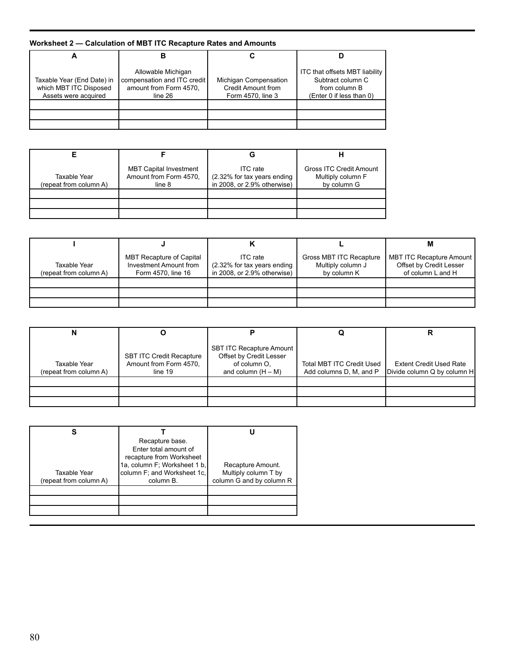## **Worksheet 2 — Calculation of MBT ITC Recapture Rates and Amounts**

| Taxable Year (End Date) in<br>which MBT ITC Disposed<br>Assets were acquired | Allowable Michigan<br>compensation and ITC credit<br>amount from Form 4570.<br>line 26 | Michigan Compensation<br><b>Credit Amount from</b><br>Form 4570, line 3 | ITC that offsets MBT liability<br>Subtract column C<br>from column B<br>(Enter 0 if less than 0) |
|------------------------------------------------------------------------------|----------------------------------------------------------------------------------------|-------------------------------------------------------------------------|--------------------------------------------------------------------------------------------------|
|                                                                              |                                                                                        |                                                                         |                                                                                                  |
|                                                                              |                                                                                        |                                                                         |                                                                                                  |
|                                                                              |                                                                                        |                                                                         |                                                                                                  |

| Taxable Year<br>(repeat from column A) | <b>MBT Capital Investment</b><br>Amount from Form 4570.<br>line 8 | <b>ITC</b> rate<br>(2.32% for tax years ending<br>in 2008, or 2.9% otherwise) | <b>Gross ITC Credit Amount</b><br>Multiply column F<br>by column G |
|----------------------------------------|-------------------------------------------------------------------|-------------------------------------------------------------------------------|--------------------------------------------------------------------|
|                                        |                                                                   |                                                                               |                                                                    |
|                                        |                                                                   |                                                                               |                                                                    |
|                                        |                                                                   |                                                                               |                                                                    |

|                                        |                                                                                 |                                                                           |                                                             | М                                                                        |
|----------------------------------------|---------------------------------------------------------------------------------|---------------------------------------------------------------------------|-------------------------------------------------------------|--------------------------------------------------------------------------|
| Taxable Year<br>(repeat from column A) | <b>MBT Recapture of Capital</b><br>Investment Amount from<br>Form 4570, line 16 | ITC rate<br>$(2.32\%$ for tax years ending<br>in 2008, or 2.9% otherwise) | Gross MBT ITC Recapture<br>Multiply column J<br>by column K | MBT ITC Recapture Amount<br>Offset by Credit Lesser<br>of column L and H |
|                                        |                                                                                 |                                                                           |                                                             |                                                                          |
|                                        |                                                                                 |                                                                           |                                                             |                                                                          |
|                                        |                                                                                 |                                                                           |                                                             |                                                                          |

| Taxable Year<br>(repeat from column A) | SBT ITC Credit Recapture<br>Amount from Form 4570.<br>line 19 | SBT ITC Recapture Amount  <br>Offset by Credit Lesser<br>of column O.<br>and column $(H - M)$ | Total MBT ITC Credit Used<br>Add columns D, M, and P | <b>Extent Credit Used Rate</b><br>Divide column Q by column H |
|----------------------------------------|---------------------------------------------------------------|-----------------------------------------------------------------------------------------------|------------------------------------------------------|---------------------------------------------------------------|
|                                        |                                                               |                                                                                               |                                                      |                                                               |
|                                        |                                                               |                                                                                               |                                                      |                                                               |

| Taxable Year<br>(repeat from column A) | Recapture base.<br>Enter total amount of<br>recapture from Worksheet<br>1a, column F; Worksheet 1 b,<br>column F; and Worksheet 1c,<br>column B. | Recapture Amount.<br>Multiply column T by<br>column G and by column R |
|----------------------------------------|--------------------------------------------------------------------------------------------------------------------------------------------------|-----------------------------------------------------------------------|
|                                        |                                                                                                                                                  |                                                                       |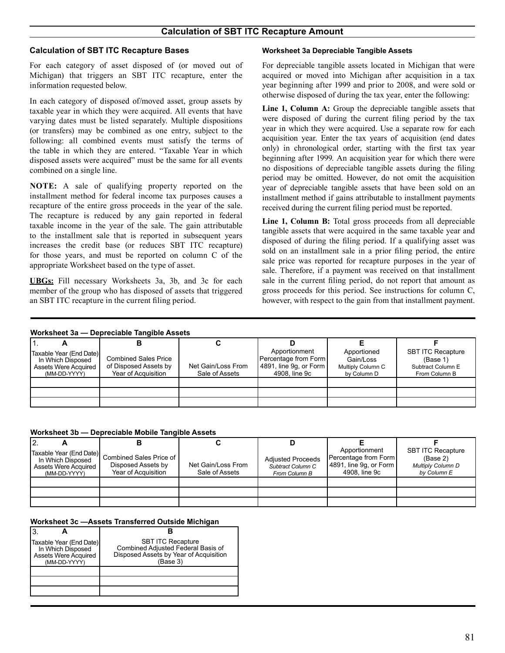#### **Calculation of SBT ITC Recapture Bases Worksheet 3a Depreciable Tangible Assets**

 For each category of asset disposed of (or moved out of Michigan) that triggers an SBT ITC recapture, enter the information requested below.

 In each category of disposed of/moved asset, group assets by taxable year in which they were acquired. All events that have varying dates must be listed separately. Multiple dispositions (or transfers) may be combined as one entry, subject to the following: all combined events must satisfy the terms of the table in which they are entered. "Taxable Year in which disposed assets were acquired" must be the same for all events combined on a single line.

 **NOTE:** A sale of qualifying property reported on the installment method for federal income tax purposes causes a recapture of the entire gross proceeds in the year of the sale. The recapture is reduced by any gain reported in federal taxable income in the year of the sale. The gain attributable to the installment sale that is reported in subsequent years increases the credit base (or reduces SBT ITC recapture) for those years, and must be reported on column C of the appropriate Worksheet based on the type of asset.

 **UBGs:** Fill necessary Worksheets 3a, 3b, and 3c for each member of the group who has disposed of assets that triggered an SBT ITC recapture in the current filing period.

 For depreciable tangible assets located in Michigan that were acquired or moved into Michigan after acquisition in a tax year beginning after 1999 and prior to 2008, and were sold or otherwise disposed of during the tax year, enter the following:

 **Line 1, Column A:** Group the depreciable tangible assets that were disposed of during the current filing period by the tax year in which they were acquired. Use a separate row for each acquisition year. Enter the tax years of acquisition (end dates only) in chronological order, starting with the first tax year beginning after 1999. An acquisition year for which there were no dispositions of depreciable tangible assets during the filing period may be omitted. However, do not omit the acquisition year of depreciable tangible assets that have been sold on an installment method if gains attributable to installment payments received during the current filing period must be reported.

 **Line 1, Column B:** Total gross proceeds from all depreciable tangible assets that were acquired in the same taxable year and disposed of during the filing period. If a qualifying asset was sold on an installment sale in a prior filing period, the entire sale price was reported for recapture purposes in the year of sale. Therefore, if a payment was received on that installment sale in the current filing period, do not report that amount as gross proceeds for this period. See instructions for column C, however, with respect to the gain from that installment payment.

#### **Worksheet 3a — Depreciable Tangible Assets**

| 11VLNJHVVLVU<br><b>Peprediable Tangible Assets</b>                                          |                                                                             |                                      |                                                                                    |                                                              |                                                                            |  |
|---------------------------------------------------------------------------------------------|-----------------------------------------------------------------------------|--------------------------------------|------------------------------------------------------------------------------------|--------------------------------------------------------------|----------------------------------------------------------------------------|--|
|                                                                                             |                                                                             |                                      |                                                                                    |                                                              |                                                                            |  |
| Taxable Year (End Date)<br>In Which Disposed<br><b>Assets Were Acquired</b><br>(MM-DD-YYYY) | <b>Combined Sales Price</b><br>of Disposed Assets by<br>Year of Acquisition | Net Gain/Loss From<br>Sale of Assets | Apportionment<br>Percentage from Form<br>4891, line 9g, or Form  <br>4908. line 9c | Apportioned<br>Gain/Loss<br>Multiply Column C<br>by Column D | <b>SBT ITC Recapture</b><br>(Base 1)<br>Subtract Column E<br>From Column B |  |
|                                                                                             |                                                                             |                                      |                                                                                    |                                                              |                                                                            |  |
|                                                                                             |                                                                             |                                      |                                                                                    |                                                              |                                                                            |  |
|                                                                                             |                                                                             |                                      |                                                                                    |                                                              |                                                                            |  |

|--|

| 12.                                                                                         |                                                                      |                                      |                                                                |                                                                                            |                                                                                 |
|---------------------------------------------------------------------------------------------|----------------------------------------------------------------------|--------------------------------------|----------------------------------------------------------------|--------------------------------------------------------------------------------------------|---------------------------------------------------------------------------------|
| Taxable Year (End Date)<br>In Which Disposed<br><b>Assets Were Acquired</b><br>(MM-DD-YYYY) | Combined Sales Price of<br>Disposed Assets by<br>Year of Acquisition | Net Gain/Loss From<br>Sale of Assets | <b>Adjusted Proceeds</b><br>Subtract Column C<br>From Column B | Apportionment<br><b>Percentage from Form</b><br>[4891, line 9q, or Form ]<br>4908. line 9c | <b>SBT ITC Recapture</b><br>(Base 2)<br><b>Multiply Column D</b><br>by Column E |
|                                                                                             |                                                                      |                                      |                                                                |                                                                                            |                                                                                 |
|                                                                                             |                                                                      |                                      |                                                                |                                                                                            |                                                                                 |
|                                                                                             |                                                                      |                                      |                                                                |                                                                                            |                                                                                 |

#### **Worksheet 3c —Assets Transferred Outside Michigan**

| Taxable Year (End Date)<br>In Which Disposed<br><b>Assets Were Acquired</b><br>(MM-DD-YYYY) | <b>SBT ITC Recapture</b><br>Combined Adjusted Federal Basis of<br>Disposed Assets by Year of Acquisition<br>(Base 3) |
|---------------------------------------------------------------------------------------------|----------------------------------------------------------------------------------------------------------------------|
|                                                                                             |                                                                                                                      |
|                                                                                             |                                                                                                                      |
|                                                                                             |                                                                                                                      |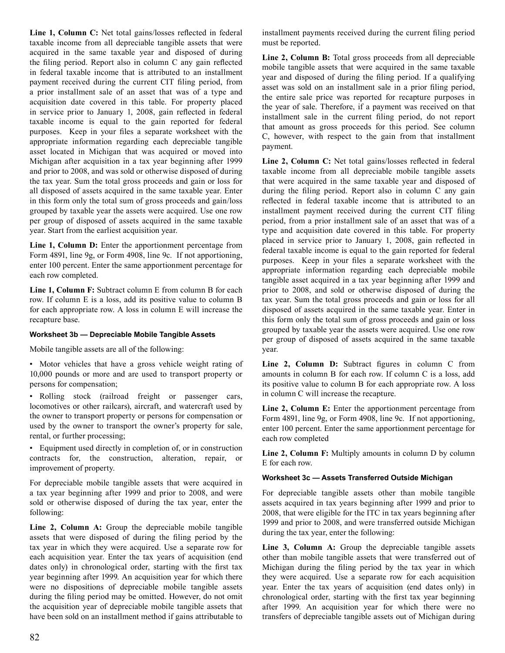**Line 1, Column C:** Net total gains/losses reflected in federal taxable income from all depreciable tangible assets that were acquired in the same taxable year and disposed of during the filing period. Report also in column C any gain reflected in federal taxable income that is attributed to an installment payment received during the current CIT filing period, from a prior installment sale of an asset that was of a type and acquisition date covered in this table. For property placed in service prior to January 1, 2008, gain reflected in federal taxable income is equal to the gain reported for federal purposes. Keep in your files a separate worksheet with the appropriate information regarding each depreciable tangible asset located in Michigan that was acquired or moved into Michigan after acquisition in a tax year beginning after 1999 and prior to 2008, and was sold or otherwise disposed of during the tax year. Sum the total gross proceeds and gain or loss for all disposed of assets acquired in the same taxable year. Enter in this form only the total sum of gross proceeds and gain/loss grouped by taxable year the assets were acquired. Use one row per group of disposed of assets acquired in the same taxable year. Start from the earliest acquisition year.

 **Line 1, Column D:** Enter the apportionment percentage from Form 4891, line 9g, or Form 4908, line 9c. If not apportioning, enter 100 percent. Enter the same apportionment percentage for each row completed.

 **Line 1, Column F:** Subtract column E from column B for each row. If column E is a loss, add its positive value to column B for each appropriate row. A loss in column E will increase the recapture base.

#### **Worksheet 3b — Depreciable Mobile Tangible Assets**

 Mobile tangible assets are all of the following:

 • Motor vehicles that have a gross vehicle weight rating of 10,000 pounds or more and are used to transport property or persons for compensation;

 • Rolling stock (railroad freight or passenger cars, locomotives or other railcars), aircraft, and watercraft used by the owner to transport property or persons for compensation or used by the owner to transport the owner's property for sale, rental, or further processing;

 • Equipment used directly in completion of, or in construction contracts for, the construction, alteration, repair, or improvement of property.

 For depreciable mobile tangible assets that were acquired in a tax year beginning after 1999 and prior to 2008, and were sold or otherwise disposed of during the tax year, enter the following:

 **Line 2, Column A:** Group the depreciable mobile tangible assets that were disposed of during the filing period by the tax year in which they were acquired. Use a separate row for each acquisition year. Enter the tax years of acquisition (end dates only) in chronological order, starting with the first tax year beginning after 1999. An acquisition year for which there were no dispositions of depreciable mobile tangible assets during the filing period may be omitted. However, do not omit the acquisition year of depreciable mobile tangible assets that have been sold on an installment method if gains attributable to  installment payments received during the current filing period must be reported.

 **Line 2, Column B:** Total gross proceeds from all depreciable mobile tangible assets that were acquired in the same taxable year and disposed of during the filing period. If a qualifying asset was sold on an installment sale in a prior filing period, the entire sale price was reported for recapture purposes in the year of sale. Therefore, if a payment was received on that installment sale in the current filing period, do not report that amount as gross proceeds for this period. See column C, however, with respect to the gain from that installment payment.

 **Line 2, Column C:** Net total gains/losses reflected in federal taxable income from all depreciable mobile tangible assets that were acquired in the same taxable year and disposed of during the filing period. Report also in column C any gain reflected in federal taxable income that is attributed to an installment payment received during the current CIT filing period, from a prior installment sale of an asset that was of a type and acquisition date covered in this table. For property placed in service prior to January 1, 2008, gain reflected in federal taxable income is equal to the gain reported for federal purposes. Keep in your files a separate worksheet with the appropriate information regarding each depreciable mobile tangible asset acquired in a tax year beginning after 1999 and prior to 2008, and sold or otherwise disposed of during the tax year. Sum the total gross proceeds and gain or loss for all disposed of assets acquired in the same taxable year. Enter in this form only the total sum of gross proceeds and gain or loss grouped by taxable year the assets were acquired. Use one row per group of disposed of assets acquired in the same taxable year.

 **Line 2, Column D:** Subtract figures in column C from amounts in column B for each row. If column C is a loss, add its positive value to column B for each appropriate row. A loss in column C will increase the recapture.

 **Line 2, Column E:** Enter the apportionment percentage from Form 4891, line 9g, or Form 4908, line 9c. If not apportioning, enter 100 percent. Enter the same apportionment percentage for each row completed

 **Line 2, Column F:** Multiply amounts in column D by column E for each row.

#### **Worksheet 3c — Assets Transferred Outside Michigan**

 For depreciable tangible assets other than mobile tangible assets acquired in tax years beginning after 1999 and prior to 2008, that were eligible for the ITC in tax years beginning after 1999 and prior to 2008, and were transferred outside Michigan during the tax year, enter the following:

 **Line 3, Column A:** Group the depreciable tangible assets other than mobile tangible assets that were transferred out of Michigan during the filing period by the tax year in which they were acquired. Use a separate row for each acquisition year. Enter the tax years of acquisition (end dates only) in chronological order, starting with the first tax year beginning after 1999. An acquisition year for which there were no transfers of depreciable tangible assets out of Michigan during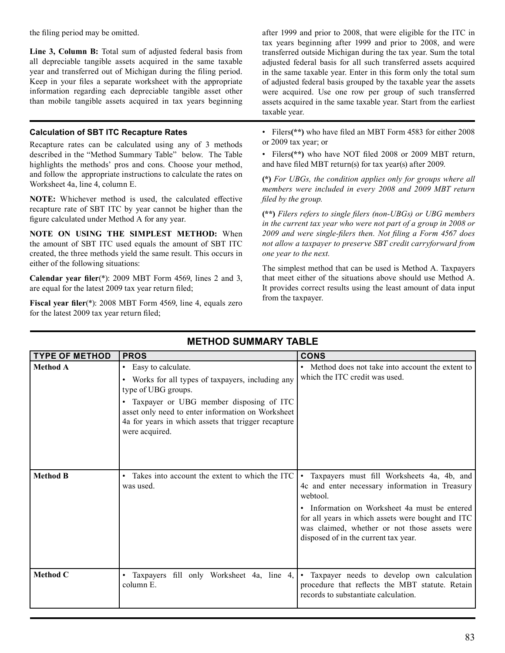the filing period may be omitted.

 **Line 3, Column B:** Total sum of adjusted federal basis from all depreciable tangible assets acquired in the same taxable year and transferred out of Michigan during the filing period. Keep in your files a separate worksheet with the appropriate information regarding each depreciable tangible asset other than mobile tangible assets acquired in tax years beginning

#### **Calculation of SBT ITC Recapture Rates**

 Recapture rates can be calculated using any of 3 methods described in the "Method Summary Table" below. The Table highlights the methods' pros and cons. Choose your method, and follow the appropriate instructions to calculate the rates on Worksheet 4a, line 4, column E.

 **NOTE:** Whichever method is used, the calculated effective recapture rate of SBT ITC by year cannot be higher than the figure calculated under Method A for any year.

 **NOTE ON USING THE SIMPLEST METHOD:** When the amount of SBT ITC used equals the amount of SBT ITC created, the three methods yield the same result. This occurs in either of the following situations:

 **Calendar year filer**(\*): 2009 MBT Form 4569, lines 2 and 3, are equal for the latest 2009 tax year return filed;

 **Fiscal year filer**(\*): 2008 MBT Form 4569, line 4, equals zero for the latest 2009 tax year return filed;

 after 1999 and prior to 2008, that were eligible for the ITC in tax years beginning after 1999 and prior to 2008, and were transferred outside Michigan during the tax year. Sum the total adjusted federal basis for all such transferred assets acquired in the same taxable year. Enter in this form only the total sum of adjusted federal basis grouped by the taxable year the assets were acquired. Use one row per group of such transferred assets acquired in the same taxable year. Start from the earliest taxable year.

 • Filers**(\*\*)** who have filed an MBT Form 4583 for either 2008 or 2009 tax year; or

 • Filers**(\*\*)** who have NOT filed 2008 or 2009 MBT return, and have filed MBT return(s) for tax year(s) after 2009.

**(\*)** *For UBGs, the condition applies only for groups where all members were included in every 2008 and 2009 MBT return filed by the group.* 

**(\*\*)** *Filers refers to single filers (non-UBGs) or UBG members in the current tax year who were not part of a group in 2008 or 2009 and were single-filers then. Not filing a Form 4567 does not allow a taxpayer to preserve SBT credit carryforward from one year to the next.* 

 The simplest method that can be used is Method A. Taxpayers that meet either of the situations above should use Method A. It provides correct results using the least amount of data input from the taxpayer.

| <b>TYPE OF METHOD</b> | <b>PROS</b>                                                                                                                                                                                                                                                                 | <b>CONS</b>                                                                                                                                                                                                                                                                                             |
|-----------------------|-----------------------------------------------------------------------------------------------------------------------------------------------------------------------------------------------------------------------------------------------------------------------------|---------------------------------------------------------------------------------------------------------------------------------------------------------------------------------------------------------------------------------------------------------------------------------------------------------|
| <b>Method A</b>       | • Easy to calculate.<br>• Works for all types of taxpayers, including any<br>type of UBG groups.<br>· Taxpayer or UBG member disposing of ITC<br>asset only need to enter information on Worksheet<br>4a for years in which assets that trigger recapture<br>were acquired. | • Method does not take into account the extent to<br>which the ITC credit was used.                                                                                                                                                                                                                     |
| <b>Method B</b>       | • Takes into account the extent to which the ITC<br>was used.                                                                                                                                                                                                               | Taxpayers must fill Worksheets 4a, 4b, and<br>4c and enter necessary information in Treasury<br>webtool.<br>• Information on Worksheet 4a must be entered<br>for all years in which assets were bought and ITC<br>was claimed, whether or not those assets were<br>disposed of in the current tax year. |
| Method C              | • Taxpayers fill only Worksheet 4a, line 4,<br>column E.                                                                                                                                                                                                                    | Taxpayer needs to develop own calculation<br>procedure that reflects the MBT statute. Retain<br>records to substantiate calculation.                                                                                                                                                                    |

## **METHOD SUMMARY TABLE**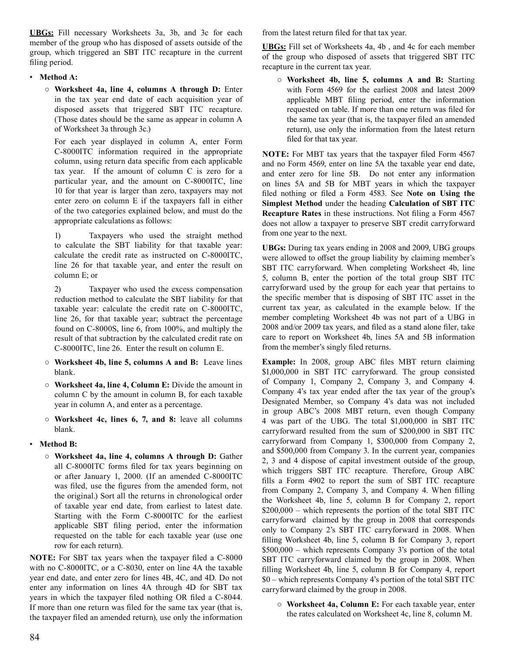**UBGs:** Fill necessary Worksheets 3a, 3b, and 3c for each member of the group who has disposed of assets outside of the group, which triggered an SBT ITC recapture in the current filing period.

#### • **Method A:**

 ○ **Worksheet 4a, line 4, columns A through D:** Enter in the tax year end date of each acquisition year of disposed assets that triggered SBT ITC recapture. (Those dates should be the same as appear in column A of Worksheet 3a through 3c.)

 For each year displayed in column A, enter Form C-8000ITC information required in the appropriate column, using return data specific from each applicable tax year. If the amount of column C is zero for a particular year, and the amount on C-8000ITC, line 10 for that year is larger than zero, taxpayers may not enter zero on column E if the taxpayers fall in either of the two categories explained below, and must do the appropriate calculations as follows:

1) Taxpayers who used the straight method to calculate the SBT liability for that taxable year: calculate the credit rate as instructed on C-8000ITC, line 26 for that taxable year, and enter the result on column E; or

 2) Taxpayer who used the excess compensation reduction method to calculate the SBT liability for that taxable year: calculate the credit rate on C-8000ITC, line 26, for that taxable year; subtract the percentage found on C-8000S, line 6, from 100%, and multiply the result of that subtraction by the calculated credit rate on C-8000ITC, line 26. Enter the result on column E.

- **Worksheet 4b, line 5, columns A and B:** Leave lines blank.
- **Worksheet 4a, line 4, Column E:** Divide the amount in column C by the amount in column B, for each taxable year in column A, and enter as a percentage.
- **Worksheet 4c, lines 6, 7, and 8:** leave all columns blank.

#### • **Method B:**

 ○ **Worksheet 4a, line 4, columns A through D:** Gather all C-8000ITC forms filed for tax years beginning on or after January 1, 2000. (If an amended C-8000ITC was filed, use the figures from the amended form, not the original.) Sort all the returns in chronological order of taxable year end date, from earliest to latest date. Starting with the Form C-8000ITC for the earliest applicable SBT filing period, enter the information requested on the table for each taxable year (use one row for each return).

 **NOTE:** For SBT tax years when the taxpayer filed a C-8000 with no C-8000ITC, or a C-8030, enter on line 4A the taxable year end date, and enter zero for lines 4B, 4C, and 4D. Do not enter any information on lines 4A through 4D for SBT tax years in which the taxpayer filed nothing OR filed a C-8044. If more than one return was filed for the same tax year (that is, the taxpayer filed an amended return), use only the information  from the latest return filed for that tax year.

 **UBGs:** Fill set of Worksheets 4a, 4b , and 4c for each member of the group who disposed of assets that triggered SBT ITC recapture in the current tax year.

 ○ **Worksheet 4b, line 5, columns A and B:** Starting with Form 4569 for the earliest 2008 and latest 2009 applicable MBT filing period, enter the information requested on table. If more than one return was filed for the same tax year (that is, the taxpayer filed an amended return), use only the information from the latest return filed for that tax year.

 **NOTE:** For MBT tax years that the taxpayer filed Form 4567 and no Form 4569, enter on line 5A the taxable year end date, and enter zero for line 5B. Do not enter any information on lines 5A and 5B for MBT years in which the taxpayer filed nothing or filed a Form 4583. See **Note on Using the Simplest Method** under the heading **Calculation of SBT ITC Recapture Rates** in these instructions. Not filing a Form 4567 does not allow a taxpayer to preserve SBT credit carryforward from one year to the next.

 **UBGs:** During tax years ending in 2008 and 2009, UBG groups were allowed to offset the group liability by claiming member's SBT ITC carryforward. When completing Worksheet 4b, line 5, column B, enter the portion of the total group SBT ITC carryforward used by the group for each year that pertains to the specific member that is disposing of SBT ITC asset in the current tax year, as calculated in the example below. If the member completing Worksheet 4b was not part of a UBG in 2008 and/or 2009 tax years, and filed as a stand alone filer, take care to report on Worksheet 4b, lines 5A and 5B information from the member's singly filed returns.

 **Example:** In 2008, group ABC files MBT return claiming \$1,000,000 in SBT ITC carryforward. The group consisted of Company 1, Company 2, Company 3, and Company 4. Company 4's tax year ended after the tax year of the group's Designated Member, so Company 4's data was not included in group ABC's 2008 MBT return, even though Company 4 was part of the UBG. The total \$1,000,000 in SBT ITC carryforward resulted from the sum of \$200,000 in SBT ITC carryforward from Company 1, \$300,000 from Company 2, and \$500,000 from Company 3. In the current year, companies 2, 3 and 4 dispose of capital investment outside of the group, which triggers SBT ITC recapture. Therefore, Group ABC fills a Form 4902 to report the sum of SBT ITC recapture from Company 2, Company 3, and Company 4. When filling the Worksheet 4b, line 5, column B for Company 2, report \$200,000 – which represents the portion of the total SBT ITC carryforward claimed by the group in 2008 that corresponds only to Company 2's SBT ITC carryforward in 2008. When filling Worksheet 4b, line 5, column B for Company 3, report \$500,000 – which represents Company 3's portion of the total SBT ITC carryforward claimed by the group in 2008. When filling Worksheet 4b, line 5, column B for Company 4, report \$0 – which represents Company 4's portion of the total SBT ITC carryforward claimed by the group in 2008.

 ○ **Worksheet 4a, Column E:** For each taxable year, enter the rates calculated on Worksheet 4c, line 8, column M.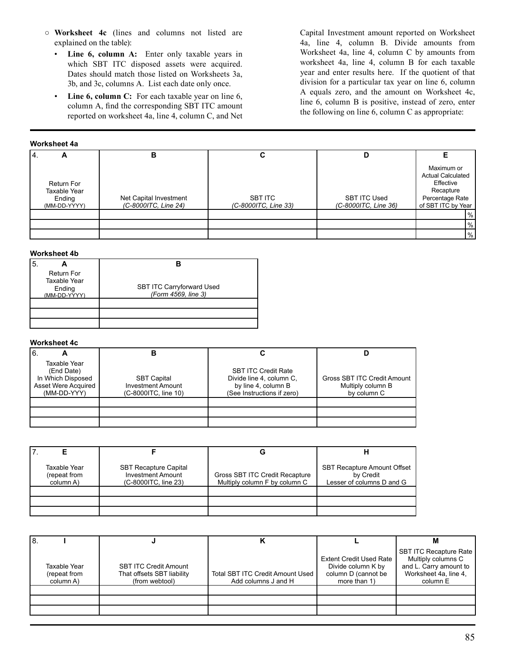- **Worksheet 4c** (lines and columns not listed are explained on the table):
	- **Line 6, column A:** Enter only taxable years in which SBT ITC disposed assets were acquired. Dates should match those listed on Worksheets 3a, 3b, and 3c, columns A. List each date only once.
	- **Line 6, column C:** For each taxable year on line 6, column A, find the corresponding SBT ITC amount reported on worksheet 4a, line 4, column C, and Net

 Capital Investment amount reported on Worksheet 4a, line 4, column B. Divide amounts from Worksheet 4a, line 4, column C by amounts from worksheet 4a, line 4, column B for each taxable year and enter results here. If the quotient of that division for a particular tax year on line 6, column A equals zero, and the amount on Worksheet 4c, line 6, column B is positive, instead of zero, enter the following on line 6, column C as appropriate:

#### **Worksheet 4a**

| 14.<br>∼                                                    | в                                              |                                 | D                                           |                                                                                                           |
|-------------------------------------------------------------|------------------------------------------------|---------------------------------|---------------------------------------------|-----------------------------------------------------------------------------------------------------------|
| <b>Return For</b><br>Taxable Year<br>Ending<br>(MM-DD-YYYY) | Net Capital Investment<br>(C-8000ITC, Line 24) | SBT ITC<br>(C-8000ITC, Line 33) | <b>SBT ITC Used</b><br>(C-8000ITC, Line 36) | Maximum or<br><b>Actual Calculated</b><br>Effective<br>Recapture<br>Percentage Rate<br>of SBT ITC by Year |
|                                                             |                                                |                                 |                                             | %                                                                                                         |
|                                                             |                                                |                                 |                                             | $\%$                                                                                                      |
|                                                             |                                                |                                 |                                             | %                                                                                                         |

#### **Worksheet 4b**

| <b>Return For</b><br><b>Taxable Year</b><br>Ending<br>(MM-DD-YYYY) | <b>SBT ITC Carryforward Used</b><br>(Form 4569, line 3) |
|--------------------------------------------------------------------|---------------------------------------------------------|
|                                                                    |                                                         |

#### **Worksheet 4c**

| 16.<br>−                                                                                     | В                                                                      |                                                                                                             |                                                                 |
|----------------------------------------------------------------------------------------------|------------------------------------------------------------------------|-------------------------------------------------------------------------------------------------------------|-----------------------------------------------------------------|
| Taxable Year<br>(End Date)<br>In Which Disposed<br><b>Asset Were Acquired</b><br>(MM-DD-YYY) | <b>SBT Capital</b><br><b>Investment Amount</b><br>(C-8000ITC, line 10) | <b>SBT ITC Credit Rate</b><br>Divide line 4, column C.<br>by line 4, column B<br>(See Instructions if zero) | Gross SBT ITC Credit Amount<br>Multiply column B<br>by column C |
|                                                                                              |                                                                        |                                                                                                             |                                                                 |
|                                                                                              |                                                                        |                                                                                                             |                                                                 |

| Taxable Year<br>(repeat from<br>column A) | <b>SBT Recapture Capital</b><br><b>Investment Amount</b><br>(C-8000ITC, line 23) | Gross SBT ITC Credit Recapture<br>Multiply column F by column C | <b>SBT Recapture Amount Offset</b><br>by Credit<br>Lesser of columns D and G |
|-------------------------------------------|----------------------------------------------------------------------------------|-----------------------------------------------------------------|------------------------------------------------------------------------------|
|                                           |                                                                                  |                                                                 |                                                                              |

| l8.                                       |                                                                              |                                                                |                                                                                             | М                                                                                                                  |
|-------------------------------------------|------------------------------------------------------------------------------|----------------------------------------------------------------|---------------------------------------------------------------------------------------------|--------------------------------------------------------------------------------------------------------------------|
| Taxable Year<br>(repeat from<br>column A) | <b>SBT ITC Credit Amount</b><br>That offsets SBT liability<br>(from webtool) | <b>Total SBT ITC Credit Amount Used</b><br>Add columns J and H | <b>Extent Credit Used Rate</b><br>Divide column K by<br>column D (cannot be<br>more than 1) | <b>SBT ITC Recapture Rate</b><br>Multiply columns C<br>and L. Carry amount to<br>Worksheet 4a, line 4,<br>column E |
|                                           |                                                                              |                                                                |                                                                                             |                                                                                                                    |
|                                           |                                                                              |                                                                |                                                                                             |                                                                                                                    |
|                                           |                                                                              |                                                                |                                                                                             |                                                                                                                    |